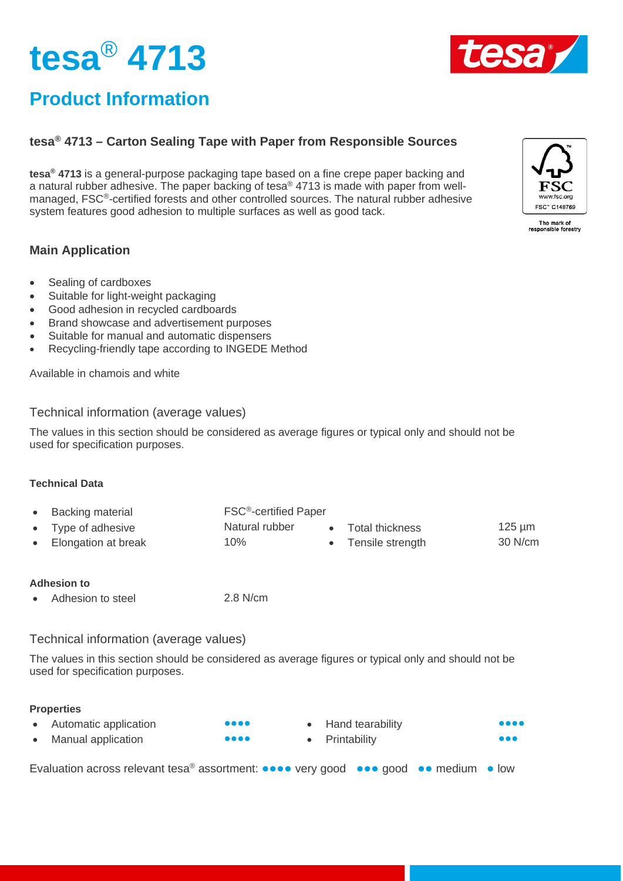



## **Product Information**

## **tesa® 4713 – Carton Sealing Tape with Paper from Responsible Sources**

**tesa® 4713** is a general-purpose packaging tape based on a fine crepe paper backing and a natural rubber adhesive. The paper backing of tesa® 4713 is made with paper from wellmanaged, FSC®-certified forests and other controlled sources. The natural rubber adhesive system features good adhesion to multiple surfaces as well as good tack.

### **Main Application**

- Sealing of cardboxes
- Suitable for light-weight packaging
- Good adhesion in recycled cardboards
- Brand showcase and advertisement purposes
- Suitable for manual and automatic dispensers
- Recycling-friendly tape according to INGEDE Method

Available in chamois and white

### Technical information (average values)

The values in this section should be considered as average figures or typical only and should not be used for specification purposes.

#### **Technical Data**

- Backing material FSC®-certified Paper
	- Type of adhesive **Figure 125** µm **Natural rubber** Total thickness **125** µm
- Elongation at break 10% Tensile strength 30 N/cm
- 

#### **Adhesion to**

Adhesion to steel 2.8 N/cm

### Technical information (average values)

The values in this section should be considered as average figures or typical only and should not be used for specification purposes.

#### **Properties**

| Automatic application | $\bullet\bullet\bullet\bullet$ | • Hand tearability | $\bullet\bullet\bullet\bullet$ |
|-----------------------|--------------------------------|--------------------|--------------------------------|
| Manual application    | $\bullet\bullet\bullet\bullet$ | • Printability     | $\bullet\bullet\bullet$        |

Evaluation across relevant tesa® assortment: **●●●●** very good **●●●** good **●●** medium **●** low



The mark of<br>responsible forestry